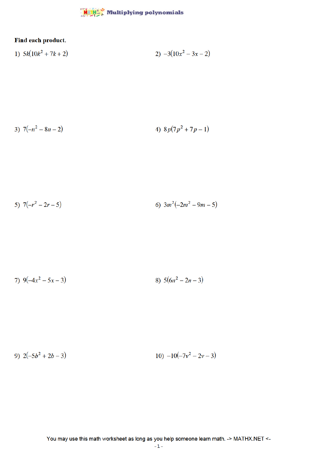

## Find each product.

1) 
$$
5k(10k^2 + 7k + 2)
$$
  
2)  $-3(10x^2 - 3x - 2)$ 

3) 
$$
7(-n^2 - 8n - 2)
$$
  
4)  $8p(7p^2 + 7p - 1)$ 

5) 
$$
7(-r^2 - 2r - 5)
$$
   
6)  $3m^2(-2m^2 - 9m - 5)$ 

7) 
$$
9(-4x^2 - 5x - 3)
$$
 8)  $5(6n^2 - 2n - 3)$ 

9) 
$$
2(-5b^2 + 2b - 3)
$$
   
10)  $-10(-7v^2 - 2v - 3)$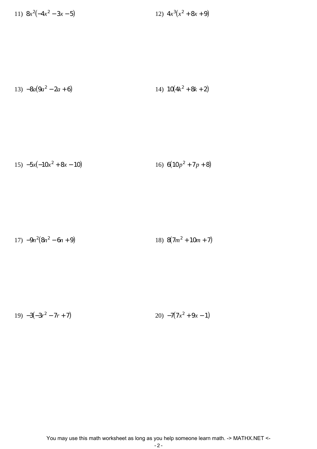11)  $8x^2(-4x^2 - 3x - 5)$  12) 4*x*  $3(x^2+8x+9)$ 

$$
13) -8a(9a^2 - 2a + 6) \t\t\t 14) 10(4k^2 + 8k + 2)
$$

15) 
$$
-5x(-10x^2 + 8x - 10)
$$
 16)  $6(10p^2 + 7p + 8)$ 

$$
17) -9n^2(8n^2 - 6n + 9) \t\t\t 18) 8(7m^2 + 10m + 7)
$$

19) 
$$
-3(-3r^2 - 7r + 7)
$$
 20)  $-7(7x^2 + 9x - 1)$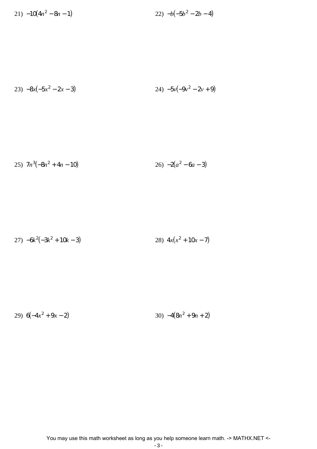21) −10(4*n* 2  $-8n-1$ ) 22)  $-b(-5b^2-2b-4)$ 

$$
23) -8x(-5x^2 - 2x - 3)
$$
  
24) -5y(-9y<sup>2</sup> - 2y + 9)

$$
25)\ \ 7n^3(-8n^2+4n-10)
$$
\n
$$
26)\ -2(a^2-6a-3)
$$

$$
27) -6k^2(-3k^2 + 10k - 3)
$$
  
28)  $4x(x^2 + 10x - 7)$ 

$$
29) 6(-4x^2 + 9x - 2)
$$
  
30) -4(8n<sup>2</sup> + 9n + 2)